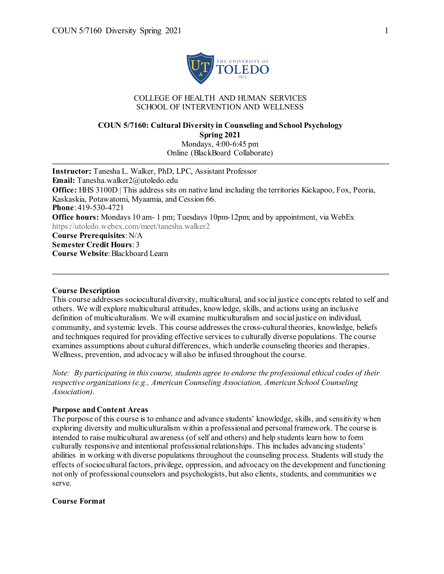

#### COLLEGE OF HEALTH AND HUMAN SERVICES SCHOOL OF INTERVENTION AND WELLNESS

## **COUN 5/7160: Cultural Diversity in Counseling and School Psychology Spring 2021** Mondays, 4:00-6:45 pm

Online (BlackBoard Collaborate)

**Instructor:** Tanesha L. Walker, PhD, LPC, Assistant Professor **Email:** Tanesha.walker2@utoledo.edu **Office:** HHS 3100D | This address sits on native land including the territories Kickapoo, Fox, Peoria, Kaskaskia, Potawatomi, Myaamia, and Cession 66. **Phone**: 419-530-4721 **Office hours:** Mondays 10 am-1 pm; Tuesdays 10pm-12pm; and by appointment, via WebEx https://utoledo.webex.com/meet/tanesha.walker2 **Course Prerequisites**: N/A **Semester Credit Hours**: 3 **Course Website**: Blackboard Learn

#### **Course Description**

This course addresses sociocultural diversity, multicultural, and social justice concepts related to self and others. We will explore multicultural attitudes, knowledge, skills, and actions using an inclusive definition of multiculturalism. We will examine multiculturalism and social justice on individual, community, and systemic levels. This course addresses the cross-cultural theories, knowledge, beliefs and techniques required for providing effective services to culturally diverse populations. The course examines assumptions about cultural differences, which underlie counseling theories and therapies. Wellness, prevention, and advocacy will also be infused throughout the course.

*Note: By participating in this course, students agree to endorse the professional ethical codes of their respective organizations (e.g., American Counseling Association, American School Counseling Association).*

#### **Purpose and Content Areas**

The purpose of this course is to enhance and advance students' knowledge, skills, and sensitivity when exploring diversity and multiculturalism within a professional and personal framework. The course is intended to raise multicultural awareness (of self and others) and help students learn how to form culturally responsive and intentional professional relationships. This includes advancing students' abilities in working with diverse populations throughout the counseling process. Students will study the effects of sociocultural factors, privilege, oppression, and advocacy on the development and functioning not only of professional counselors and psychologists, but also clients, students, and communities we serve.

#### **Course Format**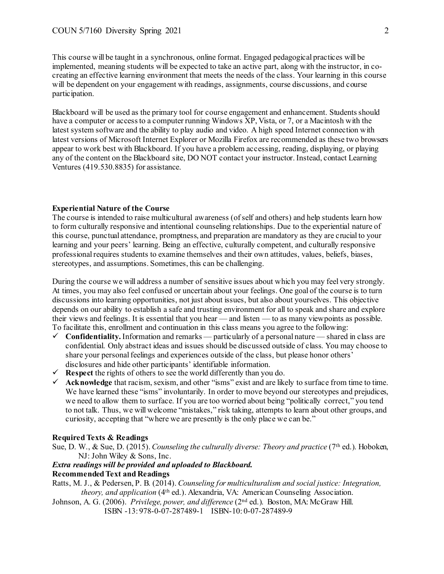This course will be taught in a synchronous, online format. Engaged pedagogical practices will be implemented, meaning students will be expected to take an active part, along with the instructor, in cocreating an effective learning environment that meets the needs of the class. Your learning in this course will be dependent on your engagement with readings, assignments, course discussions, and course participation.

Blackboard will be used as the primary tool for course engagement and enhancement. Students should have a computer or access to a computer running Windows XP, Vista, or 7, or a Macintosh with the latest system software and the ability to play audio and video. A high speed Internet connection with latest versions of Microsoft Internet Explorer or Mozilla Firefox are recommended as these two browsers appear to work best with Blackboard. If you have a problem accessing, reading, displaying, or playing any of the content on the Blackboard site, DO NOT contact your instructor. Instead, contact Learning Ventures (419.530.8835) for assistance.

## **Experiential Nature of the Course**

The course is intended to raise multicultural awareness (of self and others) and help students learn how to form culturally responsive and intentional counseling relationships. Due to the experiential nature of this course, punctual attendance, promptness, and preparation are mandatory as they are crucial to your learning and your peers' learning. Being an effective, culturally competent, and culturally responsive professional requires students to examine themselves and their own attitudes, values, beliefs, biases, stereotypes, and assumptions. Sometimes, this can be challenging.

During the course we will address a number of sensitive issues about which you may feel very strongly. At times, you may also feel confused or uncertain about your feelings. One goal of the course is to turn discussions into learning opportunities, not just about issues, but also about yourselves. This objective depends on our ability to establish a safe and trusting environment for all to speak and share and explore their views and feelings. It is essential that you hear — and listen — to as many viewpoints as possible. To facilitate this, enrollment and continuation in this class means you agree to the following:

- $\checkmark$  Confidentiality. Information and remarks particularly of a personal nature shared in class are confidential. Only abstract ideas and issues should be discussed outside of class. You may choose to share your personal feelings and experiences outside of the class, but please honor others' disclosures and hide other participants' identifiable information.
- $\checkmark$  **Respect** the rights of others to see the world differently than you do.
- **Acknowledge** that racism, sexism, and other "isms" exist and are likely to surface from time to time. We have learned these "isms" involuntarily. In order to move beyond our stereotypes and prejudices, we need to allow them to surface. If you are too worried about being "politically correct," you tend to not talk. Thus, we will welcome "mistakes," risk taking, attempts to learn about other groups, and curiosity, accepting that "where we are presently is the only place we can be."

#### **Required Texts & Readings**

Sue, D. W., & Sue, D. (2015). *Counseling the culturally diverse: Theory and practice* (7<sup>th</sup> ed.). Hoboken, NJ: John Wiley & Sons, Inc.

#### *Extra readings will be provided and uploaded to Blackboard.*

## **Recommended Text and Readings**

Ratts, M. J., & Pedersen, P. B. (2014). *Counseling for multiculturalism and social justice: Integration, theory, and application* (4th ed.). Alexandria, VA: American Counseling Association.

Johnson, A. G. (2006). *Privilege, power, and difference* (2nd ed.). Boston, MA: McGraw Hill. ISBN -13: 978-0-07-287489-1 ISBN-10: 0-07-287489-9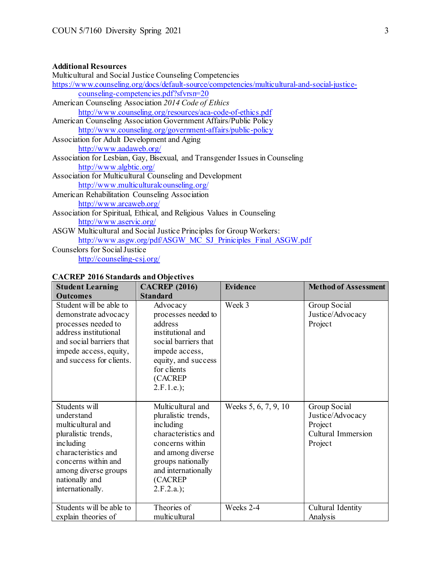# **Additional Resources**

# **CACREP 2016 Standards and Objectives**

| <b>Student Learning</b><br><b>Outcomes</b>                                                                                                                                                       | <b>CACREP</b> (2016)<br><b>Standard</b>                                                                                                                                                      | <b>Evidence</b>      | <b>Method of Assessment</b>                                                         |
|--------------------------------------------------------------------------------------------------------------------------------------------------------------------------------------------------|----------------------------------------------------------------------------------------------------------------------------------------------------------------------------------------------|----------------------|-------------------------------------------------------------------------------------|
| Student will be able to<br>demonstrate advocacy<br>processes needed to<br>address institutional<br>and social barriers that<br>impede access, equity,<br>and success for clients.                | Advocacy<br>processes needed to<br>address<br>institutional and<br>social barriers that<br>impede access,<br>equity, and success<br>for clients<br>(CACREP<br>$2.F.1.e.$ ;                   | Week 3               | Group Social<br>Justice/Advocacy<br>Project                                         |
| Students will<br>understand<br>multicultural and<br>pluralistic trends,<br>including<br>characteristics and<br>concerns within and<br>among diverse groups<br>nationally and<br>internationally. | Multicultural and<br>pluralistic trends,<br>including<br>characteristics and<br>concerns within<br>and among diverse<br>groups nationally<br>and internationally<br>(CACREP<br>$2.F.2.a.$ ); | Weeks 5, 6, 7, 9, 10 | Group Social<br>Justice/Advocacy<br>Project<br><b>Cultural Immersion</b><br>Project |
| Students will be able to<br>explain theories of                                                                                                                                                  | Theories of<br>multicultural                                                                                                                                                                 | Weeks 2-4            | Cultural Identity<br>Analysis                                                       |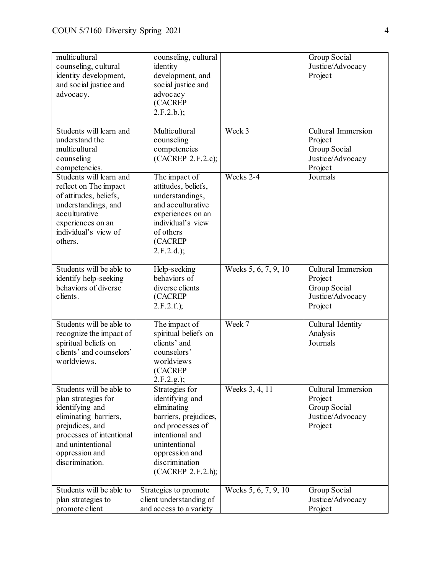| multicultural<br>counseling, cultural<br>identity development,<br>and social justice and<br>advocacy.                                                                                                | counseling, cultural<br>identity<br>development, and<br>social justice and<br>advocacy<br>(CACREP<br>$2.F.2.b.$ ;                                                                          |                      | Group Social<br>Justice/Advocacy<br>Project                                  |
|------------------------------------------------------------------------------------------------------------------------------------------------------------------------------------------------------|--------------------------------------------------------------------------------------------------------------------------------------------------------------------------------------------|----------------------|------------------------------------------------------------------------------|
| Students will learn and<br>understand the<br>multicultural<br>counseling<br>competencies.                                                                                                            | Multicultural<br>counseling<br>competencies<br>(CACREP 2.F.2.c);                                                                                                                           | Week 3               | Cultural Immersion<br>Project<br>Group Social<br>Justice/Advocacy<br>Project |
| Students will learn and<br>reflect on The impact<br>of attitudes, beliefs,<br>understandings, and<br>acculturative<br>experiences on an<br>individual's view of<br>others.                           | The impact of<br>attitudes, beliefs,<br>understandings,<br>and acculturative<br>experiences on an<br>individual's view<br>of others<br>(CACREP<br>$2.F.2.d.$ );                            | Weeks 2-4            | Journals                                                                     |
| Students will be able to<br>identify help-seeking<br>behaviors of diverse<br>clients.                                                                                                                | Help-seeking<br>behaviors of<br>diverse clients<br>(CACREP<br>$2.F.2.f.$ );                                                                                                                | Weeks 5, 6, 7, 9, 10 | Cultural Immersion<br>Project<br>Group Social<br>Justice/Advocacy<br>Project |
| Students will be able to<br>recognize the impact of<br>spiritual beliefs on<br>clients' and counselors'<br>worldviews.                                                                               | The impact of<br>spiritual beliefs on<br>clients' and<br>counselors'<br>worldviews<br>(CACREP<br>$2.F.2.g.$ ;                                                                              | Week 7               | Cultural Identity<br>Analysis<br>Journals                                    |
| Students will be able to<br>plan strategies for<br>identifying and<br>eliminating barriers,<br>prejudices, and<br>processes of intentional<br>and unintentional<br>oppression and<br>discrimination. | Strategies for<br>identifying and<br>eliminating<br>barriers, prejudices,<br>and processes of<br>intentional and<br>unintentional<br>oppression and<br>discrimination<br>(CACREP 2.F.2.h); | Weeks 3, 4, 11       | Cultural Immersion<br>Project<br>Group Social<br>Justice/Advocacy<br>Project |
| Students will be able to<br>plan strategies to<br>promote client                                                                                                                                     | Strategies to promote<br>client understanding of<br>and access to a variety                                                                                                                | Weeks 5, 6, 7, 9, 10 | Group Social<br>Justice/Advocacy<br>Project                                  |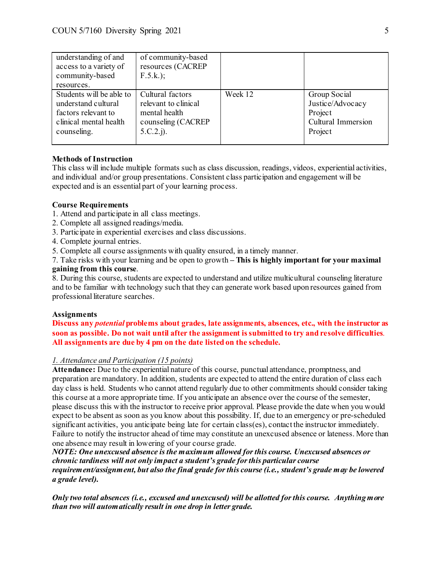| understanding of and<br>access to a variety of<br>community-based                                               | of community-based<br>resources (CACREP<br>$F.5.k.$ ;                                           |         |                                                                              |
|-----------------------------------------------------------------------------------------------------------------|-------------------------------------------------------------------------------------------------|---------|------------------------------------------------------------------------------|
| resources.                                                                                                      |                                                                                                 |         |                                                                              |
| Students will be able to<br>understand cultural<br>factors relevant to<br>clinical mental health<br>counseling. | Cultural factors<br>relevant to clinical<br>mental health<br>counseling (CACREP<br>$5.C.2.$ j). | Week 12 | Group Social<br>Justice/Advocacy<br>Project<br>Cultural Immersion<br>Project |

## **Methods of Instruction**

This class will include multiple formats such as class discussion, readings, videos, experiential activities, and individual and/or group presentations. Consistent class participation and engagement will be expected and is an essential part of your learning process.

## **Course Requirements**

- 1. Attend and participate in all class meetings.
- 2. Complete all assigned readings/media.
- 3. Participate in experiential exercises and class discussions.
- 4. Complete journal entries.
- 5. Complete all course assignments with quality ensured, in a timely manner.

7. Take risks with your learning and be open to growth **– This is highly important for your maximal gaining from this course**.

8. During this course, students are expected to understand and utilize multicultural counseling literature and to be familiar with technology such that they can generate work based upon resources gained from professional literature searches.

## **Assignments**

**Discuss any** *potential* **problems about grades, late assignments, absences, etc., with the instructor as soon as possible. Do not wait until after the assignment is submitted to try and resolve difficulties**. **All assignments are due by 4 pm on the date listed on the schedule.**

## *1. Attendance and Participation (15 points)*

**Attendance:** Due to the experiential nature of this course, punctual attendance, promptness, and preparation are mandatory. In addition, students are expected to attend the entire duration of class each day class is held. Students who cannot attend regularly due to other commitments should consider taking this course at a more appropriate time. If you anticipate an absence over the course of the semester, please discuss this with the instructor to receive prior approval. Please provide the date when you would expect to be absent as soon as you know about this possibility. If, due to an emergency or pre-scheduled significant activities, you anticipate being late for certain class(es), contact the instructor immediately. Failure to notify the instructor ahead of time may constitute an unexcused absence or lateness. More than one absence may result in lowering of your course grade.

*NOTE: One unexcused absence is the maximum allowed for this course. Unexcused absences or chronic tardiness will not only impact a student's grade for this particular course requirement/assignment, but also the final grade for this course (i.e., student's grade may be lowered a grade level).*

*Only two total absences (i.e., excused and unexcused) will be allotted for this course. Anything more than two will automatically result in one drop in letter grade.*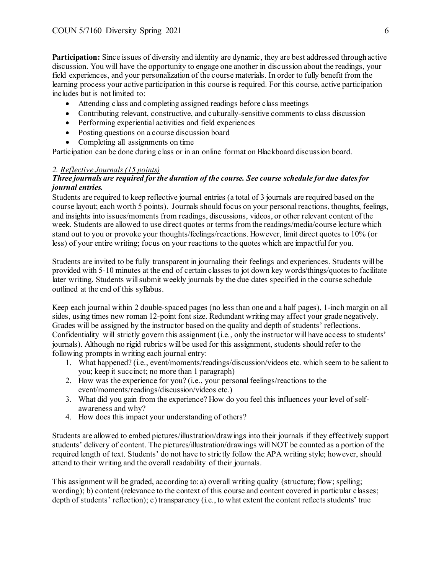**Participation:** Since issues of diversity and identity are dynamic, they are best addressed through active discussion. You will have the opportunity to engage one another in discussion about the readings, your field experiences, and your personalization of the course materials. In order to fully benefit from the learning process your active participation in this course is required. For this course, active participation includes but is not limited to:

- Attending class and completing assigned readings before class meetings
- Contributing relevant, constructive, and culturally-sensitive comments to class discussion
- Performing experiential activities and field experiences
- Posting questions on a course discussion board
- Completing all assignments on time

Participation can be done during class or in an online format on Blackboard discussion board.

## *2. Reflective Journals (15 points)*

## *Three journals are required for the duration of the course. See course schedule for due dates for journal entries.*

Students are required to keep reflective journal entries (a total of 3 journals are required based on the course layout; each worth 5 points). Journals should focus on your personal reactions, thoughts, feelings, and insights into issues/moments from readings, discussions, videos, or other relevant content of the week. Students are allowed to use direct quotes or terms from the readings/media/course lecture which stand out to you or provoke your thoughts/feelings/reactions. However, limit direct quotes to 10% (or less) of your entire writing; focus on your reactions to the quotes which are impactful for you.

Students are invited to be fully transparent in journaling their feelings and experiences. Students will be provided with 5-10 minutes at the end of certain classes to jot down key words/things/quotesto facilitate later writing. Students will submit weekly journals by the due dates specified in the course schedule outlined at the end of this syllabus.

Keep each journal within 2 double-spaced pages (no less than one and a half pages), 1-inch margin on all sides, using times new roman 12-point font size. Redundant writing may affect your grade negatively. Grades will be assigned by the instructor based on the quality and depth of students' reflections. Confidentiality will strictly govern this assignment (i.e., only the instructor will have access to students' journals). Although no rigid rubrics will be used for this assignment, students should refer to the following prompts in writing each journal entry:

- 1. What happened? (i.e., event/moments/readings/discussion/videos etc. which seem to be salient to you; keep it succinct; no more than 1 paragraph)
- 2. How was the experience for you? (i.e., your personal feelings/reactions to the event/moments/readings/discussion/videos etc.)
- 3. What did you gain from the experience? How do you feel this influences your level of selfawareness and why?
- 4. How does this impact your understanding of others?

Students are allowed to embed pictures/illustration/drawings into their journals if they effectively support students' delivery of content. The pictures/illustration/drawings will NOT be counted as a portion of the required length of text. Students' do not have to strictly follow the APA writing style; however, should attend to their writing and the overall readability of their journals.

This assignment will be graded, according to: a) overall writing quality (structure; flow; spelling; wording); b) content (relevance to the context of this course and content covered in particular classes; depth of students' reflection); c) transparency (i.e., to what extent the content reflects students' true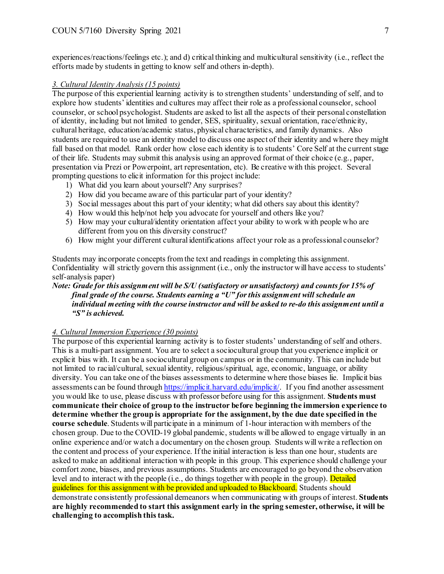experiences/reactions/feelings etc.); and d) critical thinking and multicultural sensitivity (i.e., reflect the efforts made by students in getting to know self and others in-depth).

## *3. Cultural Identity Analysis (15 points)*

The purpose of this experiential learning activity is to strengthen students' understanding of self, and to explore how students' identities and cultures may affect their role as a professional counselor, school counselor, or school psychologist. Students are asked to list all the aspects of their personal constellation of identity, including but not limited to gender, SES, spirituality, sexual orientation, race/ethnicity, cultural heritage, education/academic status, physical characteristics, and family dynamics. Also students are required to use an identity model to discuss one aspect of their identity and where they might fall based on that model. Rank order how close each identity is to students' Core Self at the current stage of their life. Students may submit this analysis using an approved format of their choice (e.g., paper, presentation via Prezi or Powerpoint, art representation, etc). Be creative with this project. Several prompting questions to elicit information for this project include:

- 1) What did you learn about yourself? Any surprises?
- 2) How did you became aware of this particular part of your identity?
- 3) Social messages about this part of your identity; what did others say about this identity?
- 4) How would this help/not help you advocate for yourself and others like you?
- 5) How may your cultural/identity orientation affect your ability to work with people who are different from you on this diversity construct?
- 6) How might your different cultural identifications affect your role as a professional counselor?

Students may incorporate concepts from the text and readings in completing this assignment. Confidentiality will strictly govern this assignment (i.e., only the instructor will have access to students' self-analysis paper)

## *Note: Grade for this assignment will be S/U (satisfactory or unsatisfactory) and counts for 15% of final grade of the course. Students earning a "U" for this assignment will schedule an individual meeting with the course instructor and will be asked to re-do this assignment until a "S" is achieved.*

## *4. Cultural Immersion Experience (30 points)*

The purpose of this experiential learning activity is to foster students' understanding of self and others. This is a multi-part assignment. You are to select a sociocultural group that you experience implicit or explicit bias with. It can be a sociocultural group on campus or in the community. This can include but not limited to racial/cultural, sexual identity, religious/spiritual, age, economic, language, or ability diversity. You can take one of the biases assessments to determine where those biases lie. Implicit bias assessments can be found throug[h https://implicit.harvard.edu/implicit/.](https://implicit.harvard.edu/implicit/) If you find another assessment you would like to use, please discuss with professor before using for this assignment. **Students must communicate their choice of group to the instructor before beginning the immersion experience to determine whether the group is appropriate for the assignment, by the due date specified in the course schedule**. Students will participate in a minimum of 1-hour interaction with members of the chosen group. Due to the COVID-19 global pandemic, students will be allowed to engage virtually in an online experience and/or watch a documentary on the chosen group. Students will write a reflection on the content and process of your experience. If the initial interaction is less than one hour, students are asked to make an additional interaction with people in this group. This experience should challenge your comfort zone, biases, and previous assumptions. Students are encouraged to go beyond the observation level and to interact with the people (i.e., do things together with people in the group). Detailed guidelines for this assignment with be provided and uploaded to Blackboard. Students should demonstrate consistently professional demeanors when communicating with groups of interest. **Students are highly recommended to start this assignment early in the spring semester, otherwise, it will be challenging to accomplish this task.**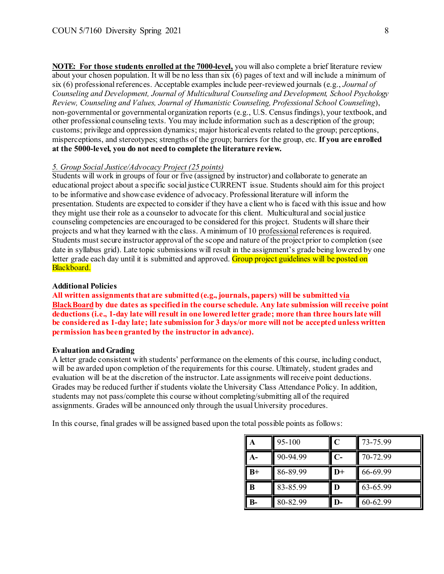**NOTE: For those students enrolled at the 7000-level,** you will also complete a brief literature review about your chosen population. It will be no less than six (6) pages of text and will include a minimum of six (6) professional references. Acceptable examples include peer-reviewed journals (e.g., *Journal of Counseling and Development, Journal of Multicultural Counseling and Development, School Psychology Review, Counseling and Values, Journal of Humanistic Counseling, Professional School Counseling*), non-governmental or governmental organization reports (e.g., U.S. Census findings), your textbook, and other professional counseling texts. You may include information such as a description of the group; customs; privilege and oppression dynamics; major historical events related to the group; perceptions, misperceptions, and stereotypes; strengths of the group; barriers for the group, etc. **If you are enrolled at the 5000-level, you do not need to complete the literature review.**

## *5. Group Social Justice/Advocacy Project (25 points)*

Students will work in groups of four or five (assigned by instructor) and collaborate to generate an educational project about a specific social justice CURRENT issue. Students should aim for this project to be informative and showcase evidence of advocacy. Professional literature will inform the presentation. Students are expected to consider if they have a client who is faced with this issue and how they might use their role as a counselor to advocate for this client. Multicultural and social justice counseling competencies are encouraged to be considered for this project. Students will share their projects and what they learned with the class. A minimum of 10 professionalreferences is required. Students must secure instructor approval of the scope and nature of the project prior to completion (see date in syllabus grid). Late topic submissions will result in the assignment's grade being lowered by one letter grade each day until it is submitted and approved. Group project guidelines will be posted on Blackboard.

#### **Additional Policies**

**All written assignments that are submitted (e.g., journals, papers) will be submitted via BlackBoard by due dates as specified in the course schedule. Any late submission will receive point deductions (i.e., 1-day late will result in one lowered letter grade; more than three hours late will be considered as 1-day late; late submission for 3 days/or more will not be accepted unless written permission has been granted by the instructor in advance).** 

#### **Evaluation and Grading**

A letter grade consistent with students' performance on the elements of this course, including conduct, will be awarded upon completion of the requirements for this course. Ultimately, student grades and evaluation will be at the discretion of the instructor. Late assignments will receive point deductions. Grades may be reduced further if students violate the University Class Attendance Policy. In addition, students may not pass/complete this course without completing/submitting all of the required assignments. Grades will be announced only through the usual University procedures.

In this course, final grades will be assigned based upon the total possible points as follows:

|      | 95-100   | C    | 73-75.99 |
|------|----------|------|----------|
|      | 90-94.99 | C-   | 70-72.99 |
| $B+$ | 86-89.99 | $D+$ | 66-69.99 |
| l B  | 83-85.99 | D    | 63-65.99 |
|      | 80-82.99 |      | 60-62.99 |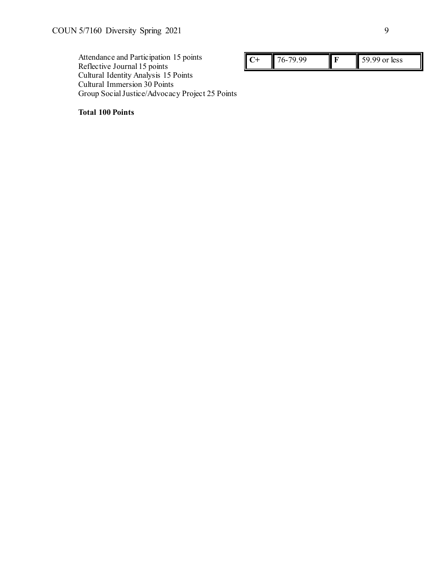Attendance and Participation 15 points Reflective Journal 15 points Cultural Identity Analysis 15 Points Cultural Immersion 30 Points Group Social Justice/Advocacy Project 25 Points

| $\sim$ $\sim$<br>٠. | less |
|---------------------|------|
|---------------------|------|

**Total 100 Points**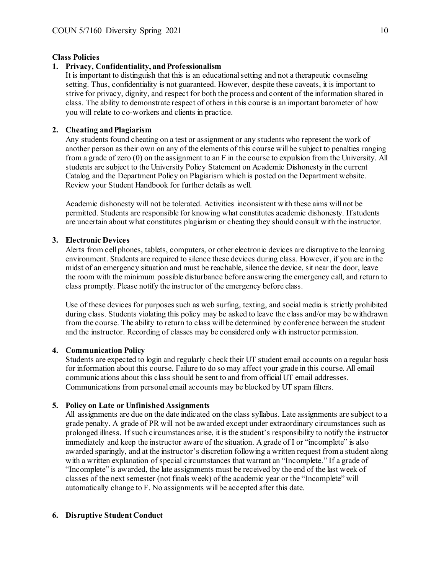#### **Class Policies**

## **1. Privacy, Confidentiality, and Professionalism**

It is important to distinguish that this is an educational setting and not a therapeutic counseling setting. Thus, confidentiality is not guaranteed. However, despite these caveats, it is important to strive for privacy, dignity, and respect for both the process and content of the information shared in class. The ability to demonstrate respect of others in this course is an important barometer of how you will relate to co-workers and clients in practice.

## **2. Cheating and Plagiarism**

Any students found cheating on a test or assignment or any students who represent the work of another person as their own on any of the elements of this course will be subject to penalties ranging from a grade of zero (0) on the assignment to an F in the course to expulsion from the University. All students are subject to the University Policy Statement on Academic Dishonesty in the current Catalog and the Department Policy on Plagiarism which is posted on the Department website. Review your Student Handbook for further details as well.

Academic dishonesty will not be tolerated. Activities inconsistent with these aims will not be permitted. Students are responsible for knowing what constitutes academic dishonesty. If students are uncertain about what constitutes plagiarism or cheating they should consult with the instructor.

#### **3. Electronic Devices**

Alerts from cell phones, tablets, computers, or other electronic devices are disruptive to the learning environment. Students are required to silence these devices during class. However, if you are in the midst of an emergency situation and must be reachable, silence the device, sit near the door, leave the room with the minimum possible disturbance before answering the emergency call, and return to class promptly. Please notify the instructor of the emergency before class.

Use of these devices for purposes such as web surfing, texting, and social media is strictly prohibited during class. Students violating this policy may be asked to leave the class and/or may be withdrawn from the course. The ability to return to class will be determined by conference between the student and the instructor. Recording of classes may be considered only with instructor permission.

#### **4. Communication Policy**

Students are expected to login and regularly check their UT student email accounts on a regular basis for information about this course. Failure to do so may affect your grade in this course. All email communications about this class should be sent to and from official UT email addresses. Communications from personal email accounts may be blocked by UT spam filters.

#### **5. Policy on Late or Unfinished Assignments**

All assignments are due on the date indicated on the class syllabus. Late assignments are subject to a grade penalty. A grade of PR will not be awarded except under extraordinary circumstances such as prolonged illness. If such circumstances arise, it is the student's responsibility to notify the instructor immediately and keep the instructor aware of the situation. A grade of I or "incomplete" is also awarded sparingly, and at the instructor's discretion following a written request from a student along with a written explanation of special circumstances that warrant an "Incomplete." If a grade of "Incomplete" is awarded, the late assignments must be received by the end of the last week of classes of the next semester (not finals week) of the academic year or the "Incomplete" will automatically change to F. No assignments will be accepted after this date.

#### **6. Disruptive Student Conduct**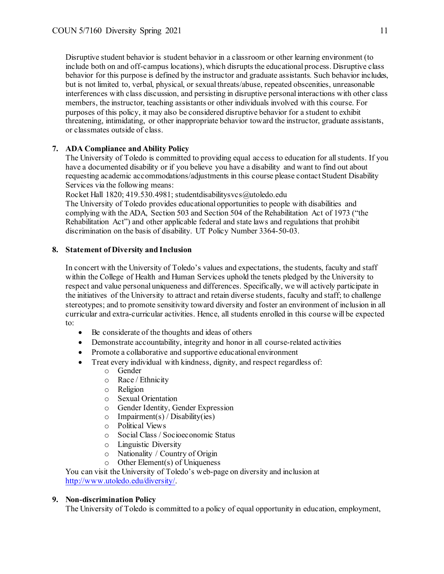Disruptive student behavior is student behavior in a classroom or other learning environment (to include both on and off-campus locations), which disrupts the educational process. Disruptive class behavior for this purpose is defined by the instructor and graduate assistants. Such behavior includes, but is not limited to, verbal, physical, or sexual threats/abuse, repeated obscenities, unreasonable interferences with class discussion, and persisting in disruptive personal interactions with other class members, the instructor, teaching assistants or other individuals involved with this course. For purposes of this policy, it may also be considered disruptive behavior for a student to exhibit threatening, intimidating, or other inappropriate behavior toward the instructor, graduate assistants, or classmates outside of class.

## **7. ADA Compliance and Ability Policy**

The University of Toledo is committed to providing equal access to education for all students. If you have a documented disability or if you believe you have a disability and want to find out about requesting academic accommodations/adjustments in this course please contact Student Disability Services via the following means:

Rocket Hall 1820; 419.530.4981; studentdisabilitysvcs@utoledo.edu

The University of Toledo provides educational opportunities to people with disabilities and complying with the ADA, Section 503 and Section 504 of the Rehabilitation Act of 1973 ("the Rehabilitation Act") and other applicable federal and state laws and regulations that prohibit discrimination on the basis of disability. UT Policy Number 3364-50-03.

## **8. Statement of Diversity and Inclusion**

In concert with the University of Toledo's values and expectations, the students, faculty and staff within the College of Health and Human Services uphold the tenets pledged by the University to respect and value personal uniqueness and differences. Specifically, we will actively participate in the initiatives of the University to attract and retain diverse students, faculty and staff; to challenge stereotypes; and to promote sensitivity toward diversity and foster an environment of inclusion in all curricular and extra-curricular activities. Hence, all students enrolled in this course will be expected to:

- Be considerate of the thoughts and ideas of others
- Demonstrate accountability, integrity and honor in all course-related activities
- Promote a collaborative and supportive educational environment
- Treat every individual with kindness, dignity, and respect regardless of:
	- o Gender
	- o Race / Ethnicity
	- o Religion
	- o Sexual Orientation
	- $\circ$  Gender Identity, Gender Expression<br>  $\circ$  Impairment(s) / Disability(ies)
	- $\circ$  Impairment(s) / Disability(ies)<br>  $\circ$  Political Views
	- Political Views
	- o Social Class / Socioeconomic Status
	- o Linguistic Diversity
	- $\circ$  Nationality / Country of Origin<br>  $\circ$  Other Element(s) of Uniqueness
	- Other Element(s) of Uniqueness

You can visit the University of Toledo's web-page on diversity and inclusion at <http://www.utoledo.edu/diversity/>.

## **9. Non-discrimination Policy**

The University of Toledo is committed to a policy of equal opportunity in education, employment,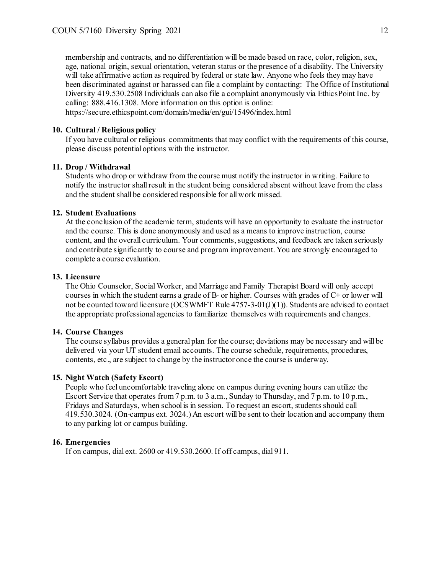membership and contracts, and no differentiation will be made based on race, color, religion, sex, age, national origin, sexual orientation, veteran status or the presence of a disability. The University will take affirmative action as required by federal or state law. Anyone who feels they may have been discriminated against or harassed can file a complaint by contacting: The Office of Institutional Diversity 419.530.2508 Individuals can also file a complaint anonymously via EthicsPoint Inc. by calling: 888.416.1308. More information on this option is online: https://secure.ethicspoint.com/domain/media/en/gui/15496/index.html

#### **10. Cultural / Religious policy**

If you have cultural or religious commitments that may conflict with the requirements of this course, please discuss potential options with the instructor.

#### **11. Drop / Withdrawal**

Students who drop or withdraw from the course must notify the instructor in writing. Failure to notify the instructor shall result in the student being considered absent without leave from the class and the student shall be considered responsible for all work missed.

#### **12. Student Evaluations**

At the conclusion of the academic term, students will have an opportunity to evaluate the instructor and the course. This is done anonymously and used as a means to improve instruction, course content, and the overall curriculum. Your comments, suggestions, and feedback are taken seriously and contribute significantly to course and program improvement. You are strongly encouraged to complete a course evaluation.

#### **13. Licensure**

The Ohio Counselor, Social Worker, and Marriage and Family Therapist Board will only accept courses in which the student earns a grade of B- or higher. Courses with grades of C+ or lower will not be counted toward licensure (OCSWMFT Rule 4757-3-01(J)(1)). Students are advised to contact the appropriate professional agencies to familiarize themselves with requirements and changes.

## **14. Course Changes**

The course syllabus provides a general plan for the course; deviations may be necessary and will be delivered via your UT student email accounts. The course schedule, requirements, procedures, contents, etc., are subject to change by the instructor once the course is underway.

#### **15. Night Watch (Safety Escort)**

People who feel uncomfortable traveling alone on campus during evening hours can utilize the Escort Service that operates from 7 p.m. to 3 a.m., Sunday to Thursday, and 7 p.m. to 10 p.m., Fridays and Saturdays, when school is in session. To request an escort, students should call 419.530.3024. (On-campus ext. 3024.) An escort will be sent to their location and accompany them to any parking lot or campus building.

#### **16. Emergencies**

If on campus, dial ext. 2600 or 419.530.2600. If off campus, dial 911.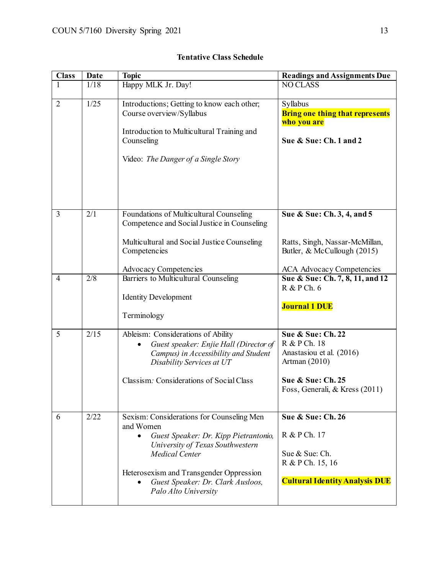| <b>Class</b>   | Date             | <b>Topic</b>                                                                                                                                                                                                                                                                      | <b>Readings and Assignments Due</b>                                                                                                     |
|----------------|------------------|-----------------------------------------------------------------------------------------------------------------------------------------------------------------------------------------------------------------------------------------------------------------------------------|-----------------------------------------------------------------------------------------------------------------------------------------|
| $\mathbf{1}$   | 1/18             | Happy MLK Jr. Day!                                                                                                                                                                                                                                                                | <b>NO CLASS</b>                                                                                                                         |
| $\overline{2}$ | 1/25             | Introductions; Getting to know each other;<br>Course overview/Syllabus<br>Introduction to Multicultural Training and<br>Counseling<br>Video: The Danger of a Single Story                                                                                                         | Syllabus<br><b>Bring one thing that represents</b><br>who you are<br>Sue & Sue: Ch. 1 and 2                                             |
| 3              | $\overline{2/1}$ | Foundations of Multicultural Counseling<br>Competence and Social Justice in Counseling<br>Multicultural and Social Justice Counseling<br>Competencies<br>Advocacy Competencies                                                                                                    | Sue & Sue: Ch. 3, 4, and 5<br>Ratts, Singh, Nassar-McMillan,<br>Butler, & McCullough (2015)<br><b>ACA Advocacy Competencies</b>         |
| $\overline{4}$ | 2/8              | Barriers to Multicultural Counseling<br><b>Identity Development</b><br>Terminology                                                                                                                                                                                                | Sue & Sue: Ch. 7, 8, 11, and 12<br>R & P Ch. 6<br><b>Journal 1 DUE</b>                                                                  |
| 5              | 2/15             | Ableism: Considerations of Ability<br>Guest speaker: Enjie Hall (Director of<br>Campus) in Accessibility and Student<br>Disability Services at UT<br>Classism: Considerations of Social Class                                                                                     | Sue & Sue: Ch. 22<br>R & P Ch. 18<br>Anastasiou et al. (2016)<br>Artman $(2010)$<br>Sue & Sue: Ch. 25<br>Foss, Generali, & Kress (2011) |
| 6              | 2/22             | Sexism: Considerations for Counseling Men<br>and Women<br>Guest Speaker: Dr. Kipp Pietrantonio,<br>$\bullet$<br>University of Texas Southwestern<br><b>Medical Center</b><br>Heterosexism and Transgender Oppression<br>Guest Speaker: Dr. Clark Ausloos,<br>Palo Alto University | Sue & Sue: Ch. 26<br>R & P Ch. 17<br>Sue & Sue: Ch.<br>R & P Ch. 15, 16<br><b>Cultural Identity Analysis DUE</b>                        |

# **Tentative Class Schedule**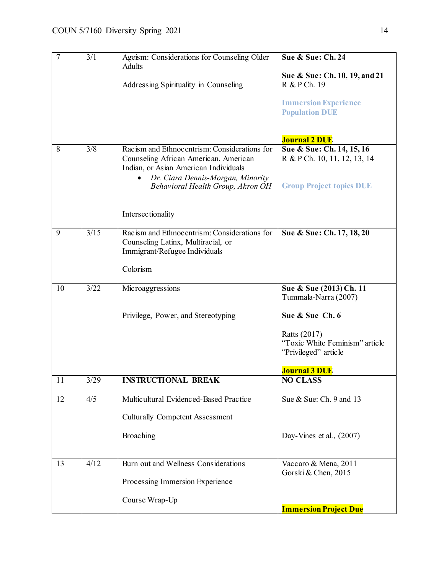| $\overline{7}$ | 3/1  | Ageism: Considerations for Counseling Older<br><b>Adults</b><br>Addressing Spirituality in Counseling                                                                                                                         | Sue & Sue: Ch. 24<br>Sue & Sue: Ch. 10, 19, and 21<br>R & P Ch. 19<br><b>Immersion Experience</b><br><b>Population DUE</b>                                                  |
|----------------|------|-------------------------------------------------------------------------------------------------------------------------------------------------------------------------------------------------------------------------------|-----------------------------------------------------------------------------------------------------------------------------------------------------------------------------|
| 8              | 3/8  | Racism and Ethnocentrism: Considerations for<br>Counseling African American, American<br>Indian, or Asian American Individuals<br>Dr. Ciara Dennis-Morgan, Minority<br>Behavioral Health Group, Akron OH<br>Intersectionality | <b>Journal 2 DUE</b><br>Sue & Sue: Ch. 14, 15, 16<br>R & P Ch. 10, 11, 12, 13, 14<br><b>Group Project topics DUE</b>                                                        |
| 9              | 3/15 | Racism and Ethnocentrism: Considerations for<br>Counseling Latinx, Multiracial, or<br>Immigrant/Refugee Individuals<br>Colorism                                                                                               | Sue & Sue: Ch. 17, 18, 20                                                                                                                                                   |
| 10             | 3/22 | Microaggressions<br>Privilege, Power, and Stereotyping                                                                                                                                                                        | Sue & Sue (2013) Ch. 11<br>Tummala-Narra (2007)<br>Sue & Sue Ch. 6<br><b>Ratts (2017)</b><br>"Toxic White Feminism" article<br>"Privileged" article<br><b>Journal 3 DUE</b> |
| 11             | 3/29 | <b>INSTRUCTIONAL BREAK</b>                                                                                                                                                                                                    | <b>NO CLASS</b>                                                                                                                                                             |
| 12             | 4/5  | Multicultural Evidenced-Based Practice<br><b>Culturally Competent Assessment</b><br>Broaching                                                                                                                                 | Sue & Sue: Ch. 9 and 13<br>Day-Vines et al., (2007)                                                                                                                         |
| 13             | 4/12 | Burn out and Wellness Considerations<br>Processing Immersion Experience<br>Course Wrap-Up                                                                                                                                     | Vaccaro & Mena, 2011<br>Gorski & Chen, 2015<br><b>Immersion Project Due</b>                                                                                                 |